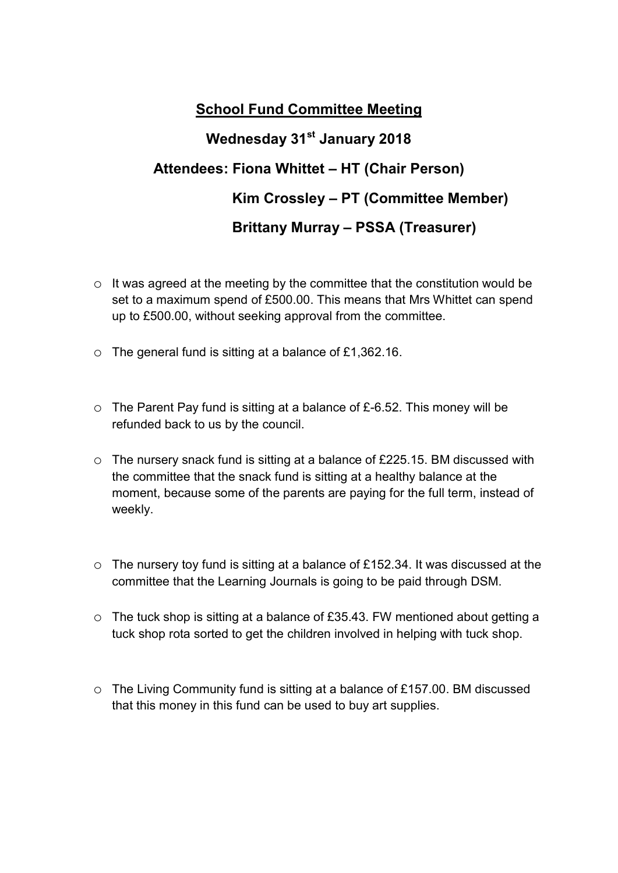## School Fund Committee Meeting Wednesday 31<sup>st</sup> January 2018 Attendees: Fiona Whittet – HT (Chair Person) Kim Crossley – PT (Committee Member) Brittany Murray – PSSA (Treasurer)

- o It was agreed at the meeting by the committee that the constitution would be set to a maximum spend of £500.00. This means that Mrs Whittet can spend up to £500.00, without seeking approval from the committee.
- o The general fund is sitting at a balance of £1,362.16.
- $\circ$  The Parent Pay fund is sitting at a balance of £-6.52. This money will be refunded back to us by the council.
- o The nursery snack fund is sitting at a balance of £225.15. BM discussed with the committee that the snack fund is sitting at a healthy balance at the moment, because some of the parents are paying for the full term, instead of weekly.
- o The nursery toy fund is sitting at a balance of £152.34. It was discussed at the committee that the Learning Journals is going to be paid through DSM.
- o The tuck shop is sitting at a balance of £35.43. FW mentioned about getting a tuck shop rota sorted to get the children involved in helping with tuck shop.
- o The Living Community fund is sitting at a balance of £157.00. BM discussed that this money in this fund can be used to buy art supplies.